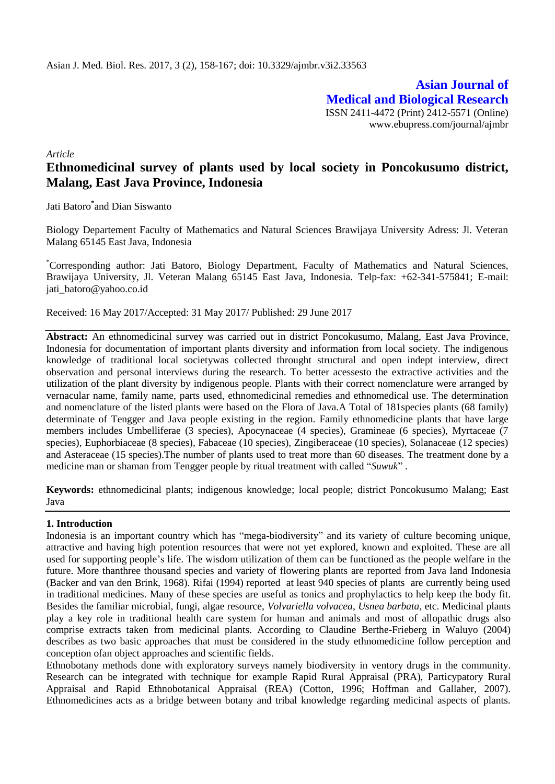**Asian Journal of Medical and Biological Research** ISSN 2411-4472 (Print) 2412-5571 (Online) www.ebupress.com/journal/ajmbr

*Article*

# **Ethnomedicinal survey of plants used by local society in Poncokusumo district, Malang, East Java Province, Indonesia**

Jati Batoro**\*** and Dian Siswanto

Biology Departement Faculty of Mathematics and Natural Sciences Brawijaya University Adress: Jl. Veteran Malang 65145 East Java, Indonesia

\*Corresponding author: Jati Batoro, Biology Department, Faculty of Mathematics and Natural Sciences, Brawijaya University, Jl. Veteran Malang 65145 East Java, Indonesia. Telp-fax: +62-341-575841; E-mail: [jati\\_batoro@yahoo.co.id](mailto:jati_batoro@yahoo.co.id)

Received: 16 May 2017/Accepted: 31 May 2017/ Published: 29 June 2017

**Abstract:** An ethnomedicinal survey was carried out in district Poncokusumo, Malang, East Java Province, Indonesia for documentation of important plants diversity and information from local society. The indigenous knowledge of traditional local societywas collected throught structural and open indept interview, direct observation and personal interviews during the research. To better acessesto the extractive activities and the utilization of the plant diversity by indigenous people. Plants with their correct nomenclature were arranged by vernacular name, family name, parts used, ethnomedicinal remedies and ethnomedical use. The determination and nomenclature of the listed plants were based on the Flora of Java.A Total of 181species plants (68 family) determinate of Tengger and Java people existing in the region. Family ethnomedicine plants that have large members includes Umbelliferae (3 species), Apocynaceae (4 species), Gramineae (6 species), Myrtaceae (7 species), Euphorbiaceae (8 species), Fabaceae (10 species), Zingiberaceae (10 species), Solanaceae (12 species) and Asteraceae (15 species).The number of plants used to treat more than 60 diseases. The treatment done by a medicine man or shaman from Tengger people by ritual treatment with called "*Suwuk*" .

**Keywords:** ethnomedicinal plants; indigenous knowledge; local people; district Poncokusumo Malang; East Java

## **1. Introduction**

Indonesia is an important country which has "mega-biodiversity" and its variety of culture becoming unique, attractive and having high potention resources that were not yet explored, known and exploited. These are all used for supporting people's life. The wisdom utilization of them can be functioned as the people welfare in the future. More thanthree thousand species and variety of flowering plants are reported from Java land Indonesia (Backer and van den Brink, 1968). Rifai (1994) reported at least 940 species of plants are currently being used in traditional medicines. Many of these species are useful as tonics and prophylactics to help keep the body fit. Besides the familiar microbial, fungi, algae resource, *Volvariella volvacea*, *Usnea barbata*, etc. Medicinal plants play a key role in traditional health care system for human and animals and most of allopathic drugs also comprise extracts taken from medicinal plants. According to Claudine Berthe-Frieberg in Waluyo (2004) describes as two basic approaches that must be considered in the study ethnomedicine follow perception and conception ofan object approaches and scientific fields.

Ethnobotany methods done with exploratory surveys namely biodiversity in ventory drugs in the community. Research can be integrated with technique for example Rapid Rural Appraisal (PRA), Particypatory Rural Appraisal and Rapid Ethnobotanical Appraisal (REA) (Cotton, 1996; Hoffman and Gallaher, 2007). Ethnomedicines acts as a bridge between botany and tribal knowledge regarding medicinal aspects of plants.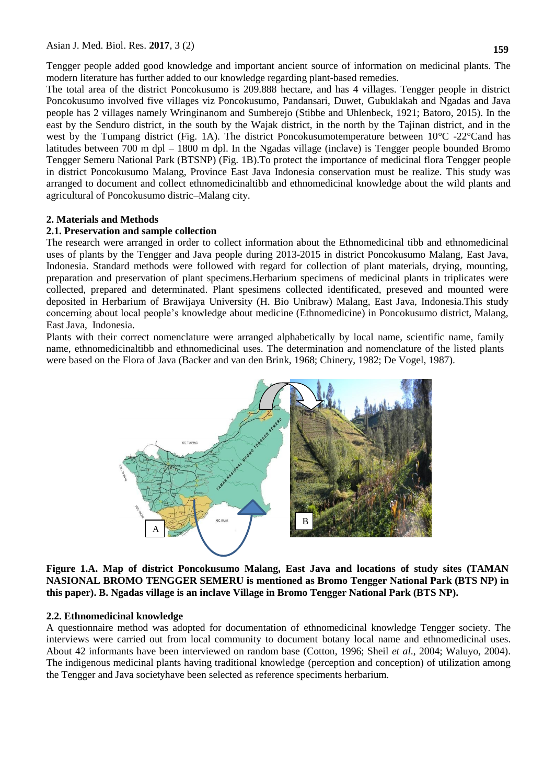Tengger people added good knowledge and important ancient source of information on medicinal plants. The modern literature has further added to our knowledge regarding plant-based remedies.

The total area of the district Poncokusumo is 209.888 hectare, and has 4 villages. Tengger people in district Poncokusumo involved five villages viz Poncokusumo, Pandansari, Duwet, Gubuklakah and Ngadas and Java people has 2 villages namely Wringinanom and Sumberejo (Stibbe and Uhlenbeck, 1921; Batoro, 2015). In the east by the Senduro district, in the south by the Wajak district, in the north by the Tajinan district, and in the west by the Tumpang district (Fig. 1A). The district Poncokusumotemperature between 10°C -22°Cand has latitudes between 700 m dpl – 1800 m dpl. In the Ngadas village (inclave) is Tengger people bounded Bromo Tengger Semeru National Park (BTSNP) (Fig. 1B).To protect the importance of medicinal flora Tengger people in district Poncokusumo Malang, Province East Java Indonesia conservation must be realize. This study was arranged to document and collect ethnomedicinaltibb and ethnomedicinal knowledge about the wild plants and agricultural of Poncokusumo distric–Malang city.

## **2. Materials and Methods**

## **2.1. Preservation and sample collection**

The research were arranged in order to collect information about the Ethnomedicinal tibb and ethnomedicinal uses of plants by the Tengger and Java people during 2013-2015 in district Poncokusumo Malang, East Java, Indonesia. Standard methods were followed with regard for collection of plant materials, drying, mounting, preparation and preservation of plant specimens.Herbarium specimens of medicinal plants in triplicates were collected, prepared and determinated. Plant spesimens collected identificated, preseved and mounted were deposited in Herbarium of Brawijaya University (H. Bio Unibraw) Malang, East Java, Indonesia.This study concerning about local people's knowledge about medicine (Ethnomedicine) in Poncokusumo district, Malang, East Java, Indonesia.

Plants with their correct nomenclature were arranged alphabetically by local name, scientific name, family name, ethnomedicinaltibb and ethnomedicinal uses. The determination and nomenclature of the listed plants were based on the Flora of Java (Backer and van den Brink, 1968; Chinery, 1982; De Vogel, 1987).



**Figure 1.A. Map of district Poncokusumo Malang, East Java and locations of study sites (TAMAN NASIONAL BROMO TENGGER SEMERU is mentioned as Bromo Tengger National Park (BTS NP) in this paper). B. Ngadas village is an inclave Village in Bromo Tengger National Park (BTS NP).**

## **2.2. Ethnomedicinal knowledge**

A questionnaire method was adopted for documentation of ethnomedicinal knowledge Tengger society. The interviews were carried out from local community to document botany local name and ethnomedicinal uses. About 42 informants have been interviewed on random base (Cotton, 1996; Sheil *et al*., 2004; Waluyo, 2004). The indigenous medicinal plants having traditional knowledge (perception and conception) of utilization among the Tengger and Java societyhave been selected as reference speciments herbarium.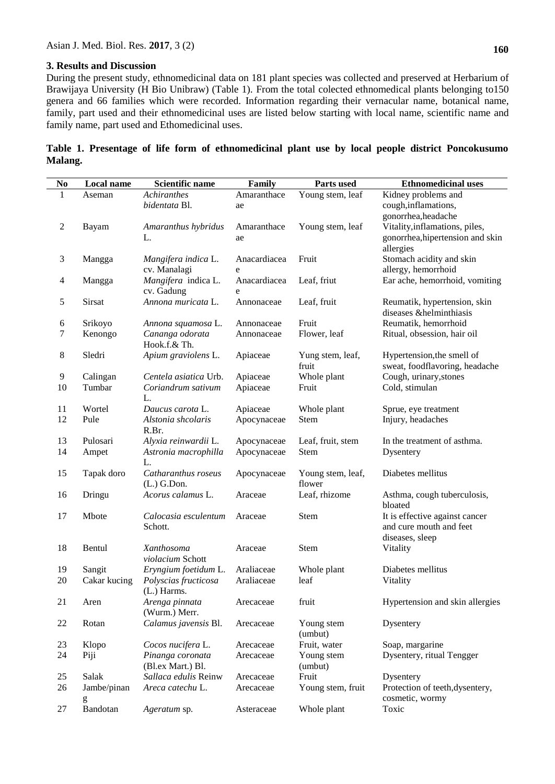## **3. Results and Discussion**

During the present study, ethnomedicinal data on 181 plant species was collected and preserved at Herbarium of Brawijaya University (H Bio Unibraw) (Table 1). From the total colected ethnomedical plants belonging to150 genera and 66 families which were recorded. Information regarding their vernacular name, botanical name, family, part used and their ethnomedicinal uses are listed below starting with local name, scientific name and family name, part used and Ethomedicinal uses.

|         |  |  | Table 1. Presentage of life form of ethnomedicinal plant use by local people district Poncokusumo |  |  |  |  |
|---------|--|--|---------------------------------------------------------------------------------------------------|--|--|--|--|
| Malang. |  |  |                                                                                                   |  |  |  |  |

| No | Local name   | <b>Scientific name</b>          | Family       | Parts used        | <b>Ethnomedicinal uses</b>                                |
|----|--------------|---------------------------------|--------------|-------------------|-----------------------------------------------------------|
| 1  | Aseman       | Achiranthes                     | Amaranthace  | Young stem, leaf  | Kidney problems and                                       |
|    |              | bidentata Bl.                   | ae           |                   | cough, inflamations,                                      |
|    |              |                                 |              |                   | gonorrhea, headache                                       |
| 2  | Bayam        | Amaranthus hybridus             | Amaranthace  | Young stem, leaf  | Vitality, inflamations, piles,                            |
|    |              | L.                              | ae           |                   | gonorrhea, hipertension and skin                          |
|    |              |                                 |              |                   | allergies                                                 |
| 3  | Mangga       | Mangifera indica L.             | Anacardiacea | Fruit             | Stomach acidity and skin                                  |
|    |              | cv. Manalagi                    | e            |                   | allergy, hemorrhoid                                       |
| 4  | Mangga       | Mangifera indica L.             | Anacardiacea | Leaf, friut       | Ear ache, hemorrhoid, vomiting                            |
|    |              | cv. Gadung                      | e            |                   |                                                           |
| 5  | Sirsat       | Annona muricata L.              | Annonaceae   | Leaf, fruit       | Reumatik, hypertension, skin                              |
|    |              |                                 |              |                   | diseases &helminthiasis                                   |
| 6  | Srikoyo      | Annona squamosa L.              | Annonaceae   | Fruit             | Reumatik, hemorrhoid                                      |
| 7  | Kenongo      | Cananga odorata                 | Annonaceae   | Flower, leaf      | Ritual, obsession, hair oil                               |
|    |              | Hook.f.& Th.                    |              |                   |                                                           |
| 8  | Sledri       | Apium graviolens L.             | Apiaceae     | Yung stem, leaf,  | Hypertension, the smell of                                |
|    |              |                                 |              | fruit             | sweat, foodflavoring, headache                            |
| 9  | Calingan     | Centela asiatica Urb.           | Apiaceae     | Whole plant       | Cough, urinary, stones                                    |
| 10 | Tumbar       | Coriandrum sativum              | Apiaceae     | Fruit             | Cold, stimulan                                            |
|    |              | L.                              |              |                   |                                                           |
| 11 | Wortel       | Daucus carota L.                | Apiaceae     | Whole plant       | Sprue, eye treatment                                      |
| 12 | Pule         | Alstonia shcolaris              | Apocynaceae  | Stem              | Injury, headaches                                         |
|    |              | R.Br.                           |              |                   |                                                           |
| 13 | Pulosari     | Alyxia reinwardii L.            | Apocynaceae  | Leaf, fruit, stem | In the treatment of asthma.                               |
| 14 | Ampet        | Astronia macrophilla            | Apocynaceae  | <b>Stem</b>       | Dysentery                                                 |
|    |              | L.                              |              |                   |                                                           |
| 15 | Tapak doro   | Catharanthus roseus             | Apocynaceae  | Young stem, leaf, | Diabetes mellitus                                         |
|    |              | $(L.)$ G.Don.                   |              | flower            |                                                           |
| 16 | Dringu       | Acorus calamus L.               | Araceae      | Leaf, rhizome     | Asthma, cough tuberculosis,                               |
|    |              |                                 |              |                   | bloated                                                   |
| 17 | Mbote        | Calocasia esculentum<br>Schott. | Araceae      | Stem              | It is effective against cancer<br>and cure mouth and feet |
|    |              |                                 |              |                   | diseases, sleep                                           |
| 18 | Bentul       | Xanthosoma                      | Araceae      | Stem              | Vitality                                                  |
|    |              | violacium Schott                |              |                   |                                                           |
| 19 | Sangit       | Eryngium foetidum L.            | Araliaceae   | Whole plant       | Diabetes mellitus                                         |
| 20 | Cakar kucing | Polyscias fructicosa            | Araliaceae   | leaf              | Vitality                                                  |
|    |              | (L.) Harms.                     |              |                   |                                                           |
| 21 | Aren         | Arenga pinnata                  | Arecaceae    | fruit             | Hypertension and skin allergies                           |
|    |              | (Wurm.) Merr.                   |              |                   |                                                           |
| 22 | Rotan        | Calamus javensis Bl.            | Arecaceae    | Young stem        | Dysentery                                                 |
|    |              |                                 |              | (umbut)           |                                                           |
| 23 | Klopo        | Cocos nucifera L.               | Arecaceae    | Fruit, water      | Soap, margarine                                           |
| 24 | Piji         | Pinanga coronata                | Arecaceae    | Young stem        | Dysentery, ritual Tengger                                 |
|    |              | (Bl.ex Mart.) Bl.               |              | (umbut)           |                                                           |
| 25 | Salak        | Sallaca edulis Reinw            | Arecaceae    | Fruit             | Dysentery                                                 |
| 26 | Jambe/pinan  | Areca catechu L.                | Arecaceae    | Young stem, fruit | Protection of teeth, dysentery,                           |
|    | g            |                                 |              |                   | cosmetic, wormy                                           |
| 27 | Bandotan     | Ageratum sp.                    | Asteraceae   | Whole plant       | Toxic                                                     |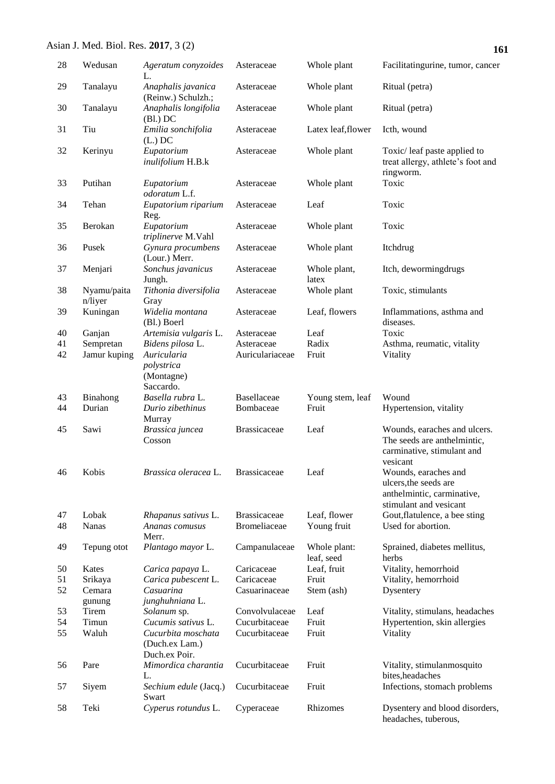| 28 | Wedusan                | Ageratum conyzoides<br>L.                             | Asteraceae          | Whole plant                | Facilitatingurine, tumor, cancer                                                                      |
|----|------------------------|-------------------------------------------------------|---------------------|----------------------------|-------------------------------------------------------------------------------------------------------|
| 29 | Tanalayu               | Anaphalis javanica<br>(Reinw.) Schulzh.;              | Asteraceae          | Whole plant                | Ritual (petra)                                                                                        |
| 30 | Tanalayu               | Anaphalis longifolia<br>$(Bl.)$ DC                    | Asteraceae          | Whole plant                | Ritual (petra)                                                                                        |
| 31 | Tiu                    | Emilia sonchifolia<br>$(L.)$ DC                       | Asteraceae          | Latex leaf, flower         | Icth, wound                                                                                           |
| 32 | Kerinyu                | Eupatorium<br>inulifolium H.B.k                       | Asteraceae          | Whole plant                | Toxic/leaf paste applied to<br>treat allergy, athlete's foot and<br>ringworm.                         |
| 33 | Putihan                | Eupatorium<br>odoratum L.f.                           | Asteraceae          | Whole plant                | Toxic                                                                                                 |
| 34 | Tehan                  | Eupatorium riparium<br>Reg.                           | Asteraceae          | Leaf                       | Toxic                                                                                                 |
| 35 | Berokan                | Eupatorium<br>triplinerve M.Vahl                      | Asteraceae          | Whole plant                | Toxic                                                                                                 |
| 36 | Pusek                  | Gynura procumbens<br>(Lour.) Merr.                    | Asteraceae          | Whole plant                | Itchdrug                                                                                              |
| 37 | Menjari                | Sonchus javanicus<br>Jungh.                           | Asteraceae          | Whole plant,<br>latex      | Itch, dewormingdrugs                                                                                  |
| 38 | Nyamu/paita<br>n/liyer | Tithonia diversifolia<br>Gray                         | Asteraceae          | Whole plant                | Toxic, stimulants                                                                                     |
| 39 | Kuningan               | Widelia montana<br>(Bl.) Boerl                        | Asteraceae          | Leaf, flowers              | Inflammations, asthma and<br>diseases.                                                                |
| 40 | Ganjan                 | Artemisia vulgaris L.                                 | Asteraceae          | Leaf                       | Toxic                                                                                                 |
| 41 | Sempretan              | Bidens pilosa L.                                      | Asteraceae          | Radix                      | Asthma, reumatic, vitality                                                                            |
| 42 | Jamur kuping           | Auricularia                                           | Auriculariaceae     | Fruit                      | Vitality                                                                                              |
|    |                        | polystrica<br>(Montagne)<br>Saccardo.                 |                     |                            |                                                                                                       |
| 43 | Binahong               | Basella rubra L.                                      | Basellaceae         | Young stem, leaf           | Wound                                                                                                 |
| 44 | Durian                 | Durio zibethinus<br>Murray                            | Bombaceae           | Fruit                      | Hypertension, vitality                                                                                |
| 45 | Sawi                   | Brassica juncea<br>Cosson                             | <b>Brassicaceae</b> | Leaf                       | Wounds, earaches and ulcers.<br>The seeds are anthelmintic,<br>carminative, stimulant and<br>vesicant |
| 46 | Kobis                  | Brassica oleracea L.                                  | <b>Brassicaceae</b> | Leaf                       | Wounds, earaches and<br>ulcers, the seeds are<br>anthelmintic, carminative,<br>stimulant and vesicant |
| 47 | Lobak                  | Rhapanus sativus L.                                   | <b>Brassicaceae</b> | Leaf, flower               | Gout, flatulence, a bee sting                                                                         |
| 48 | <b>Nanas</b>           | Ananas comusus<br>Merr.                               | <b>Bromeliaceae</b> | Young fruit                | Used for abortion.                                                                                    |
| 49 | Tepung otot            | Plantago mayor L.                                     | Campanulaceae       | Whole plant:<br>leaf, seed | Sprained, diabetes mellitus,<br>herbs                                                                 |
| 50 | Kates                  | Carica papaya L.                                      | Caricaceae          | Leaf, fruit                | Vitality, hemorrhoid                                                                                  |
| 51 | Srikaya                | Carica pubescent L.                                   | Caricaceae          | Fruit                      | Vitality, hemorrhoid                                                                                  |
| 52 | Cemara                 | Casuarina                                             | Casuarinaceae       | Stem (ash)                 | Dysentery                                                                                             |
|    | gunung                 | junghuhniana L.                                       |                     |                            |                                                                                                       |
|    |                        |                                                       |                     |                            |                                                                                                       |
| 53 | Tirem                  | Solanum sp.                                           | Convolvulaceae      | Leaf                       | Vitality, stimulans, headaches                                                                        |
| 54 | Timun                  | Cucumis sativus L.                                    | Cucurbitaceae       | Fruit                      | Hypertention, skin allergies                                                                          |
| 55 | Waluh                  | Cucurbita moschata<br>(Duch.ex Lam.)<br>Duch.ex Poir. | Cucurbitaceae       | Fruit                      | Vitality                                                                                              |
| 56 | Pare                   | Mimordica charantia<br>L.                             | Cucurbitaceae       | Fruit                      | Vitality, stimulanmosquito<br>bites, headaches                                                        |
| 57 | Siyem                  | Sechium edule (Jacq.)<br>Swart                        | Cucurbitaceae       | Fruit                      | Infections, stomach problems                                                                          |
| 58 | Teki                   | Cyperus rotundus L.                                   | Cyperaceae          | Rhizomes                   | Dysentery and blood disorders,<br>headaches, tuberous,                                                |

**161**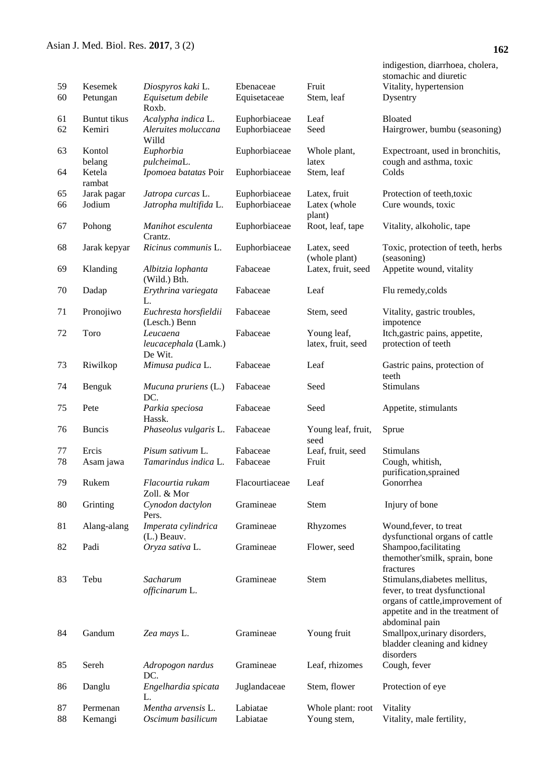| 59       | Kesemek               | Diospyros kaki L.                           | Ebenaceae                      | Fruit                             | indigestion, diarrhoea, cholera,<br>stomachic and diuretic<br>Vitality, hypertension                                                                     |
|----------|-----------------------|---------------------------------------------|--------------------------------|-----------------------------------|----------------------------------------------------------------------------------------------------------------------------------------------------------|
| 60       | Petungan              | Equisetum debile<br>Roxb.                   | Equisetaceae                   | Stem, leaf                        | Dysentry                                                                                                                                                 |
| 61       | <b>Buntut</b> tikus   | Acalypha indica L.                          | Euphorbiaceae                  | Leaf                              | <b>Bloated</b>                                                                                                                                           |
| 62       | Kemiri                | Aleruites moluccana<br>Willd                | Euphorbiaceae                  | Seed                              | Hairgrower, bumbu (seasoning)                                                                                                                            |
| 63       | Kontol<br>belang      | Euphorbia<br>pulcheimaL.                    | Euphorbiaceae                  | Whole plant,<br>latex             | Expectroant, used in bronchitis,<br>cough and asthma, toxic                                                                                              |
| 64       | Ketela<br>rambat      | Ipomoea batatas Poir                        | Euphorbiaceae                  | Stem, leaf                        | Colds                                                                                                                                                    |
| 65<br>66 | Jarak pagar<br>Jodium | Jatropa curcas L.<br>Jatropha multifida L.  | Euphorbiaceae<br>Euphorbiaceae | Latex, fruit<br>Latex (whole      | Protection of teeth, toxic<br>Cure wounds, toxic                                                                                                         |
| 67       | Pohong                | Manihot esculenta<br>Crantz.                | Euphorbiaceae                  | plant)<br>Root, leaf, tape        | Vitality, alkoholic, tape                                                                                                                                |
| 68       | Jarak kepyar          | Ricinus communis L.                         | Euphorbiaceae                  | Latex, seed<br>(whole plant)      | Toxic, protection of teeth, herbs<br>(seasoning)                                                                                                         |
| 69       | Klanding              | Albitzia lophanta<br>(Wild.) Bth.           | Fabaceae                       | Latex, fruit, seed                | Appetite wound, vitality                                                                                                                                 |
| 70       | Dadap                 | Erythrina variegata<br>L.                   | Fabaceae                       | Leaf                              | Flu remedy, colds                                                                                                                                        |
| 71       | Pronojiwo             | Euchresta horsfieldii<br>(Lesch.) Benn      | Fabaceae                       | Stem, seed                        | Vitality, gastric troubles,<br>impotence                                                                                                                 |
| 72       | Toro                  | Leucaena<br>leucacephala (Lamk.)<br>De Wit. | Fabaceae                       | Young leaf,<br>latex, fruit, seed | Itch, gastric pains, appetite,<br>protection of teeth                                                                                                    |
| 73       | Riwilkop              | Mimusa pudica L.                            | Fabaceae                       | Leaf                              | Gastric pains, protection of<br>teeth                                                                                                                    |
| 74       | Benguk                | Mucuna pruriens (L.)<br>DC.                 | Fabaceae                       | Seed                              | Stimulans                                                                                                                                                |
| 75       | Pete                  | Parkia speciosa<br>Hassk.                   | Fabaceae                       | Seed                              | Appetite, stimulants                                                                                                                                     |
| 76       | <b>Buncis</b>         | Phaseolus vulgaris L.                       | Fabaceae                       | Young leaf, fruit,<br>seed        | Sprue                                                                                                                                                    |
| 77       | Ercis                 | Pisum sativum L.                            | Fabaceae                       | Leaf, fruit, seed                 | Stimulans                                                                                                                                                |
| 78       | Asam jawa             | Tamarindus indica L.                        | Fabaceae                       | Fruit                             | Cough, whitish,<br>purification,sprained                                                                                                                 |
| 79       | Rukem                 | Flacourtia rukam<br>Zoll. & Mor             | Flacourtiaceae                 | Leaf                              | Gonorrhea                                                                                                                                                |
| 80       | Grinting              | Cynodon dactylon<br>Pers.                   | Gramineae                      | Stem                              | Injury of bone                                                                                                                                           |
| 81       | Alang-alang           | Imperata cylindrica<br>(L.) Beauv.          | Gramineae                      | Rhyzomes                          | Wound, fever, to treat<br>dysfunctional organs of cattle                                                                                                 |
| 82       | Padi                  | Oryza sativa L.                             | Gramineae                      | Flower, seed                      | Shampoo, facilitating<br>themother'smilk, sprain, bone<br>fractures                                                                                      |
| 83       | Tebu                  | Sacharum<br>officinarum L.                  | Gramineae                      | Stem                              | Stimulans, diabetes mellitus,<br>fever, to treat dysfunctional<br>organs of cattle, improvement of<br>appetite and in the treatment of<br>abdominal pain |
| 84       | Gandum                | Zea mays L.                                 | Gramineae                      | Young fruit                       | Smallpox, urinary disorders,<br>bladder cleaning and kidney<br>disorders                                                                                 |
| 85       | Sereh                 | Adropogon nardus<br>DC.                     | Gramineae                      | Leaf, rhizomes                    | Cough, fever                                                                                                                                             |
| 86       | Danglu                | Engelhardia spicata<br>L.                   | Juglandaceae                   | Stem, flower                      | Protection of eye                                                                                                                                        |
| 87<br>88 | Permenan<br>Kemangi   | Mentha arvensis L.<br>Oscimum basilicum     | Labiatae<br>Labiatae           | Whole plant: root<br>Young stem,  | Vitality<br>Vitality, male fertility,                                                                                                                    |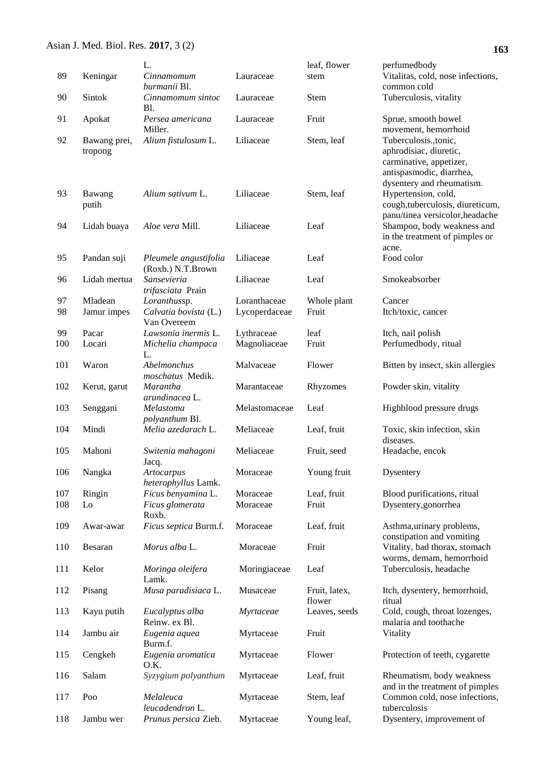|    | Asian J. Med. Biol. Res. 2017, 3 (2) |                             |           |              | 1                                                                                                                                   |
|----|--------------------------------------|-----------------------------|-----------|--------------|-------------------------------------------------------------------------------------------------------------------------------------|
|    |                                      | L.                          |           | leaf, flower | perfumedbody                                                                                                                        |
| 89 | Keningar                             | Cinnamomum<br>burmanii Bl.  | Lauraceae | stem         | Vitalitas, cold, nose infections,<br>common cold                                                                                    |
| 90 | <b>Sintok</b>                        | Cinnamomum sintoc<br>Bl.    | Lauraceae | <b>Stem</b>  | Tuberculosis, vitality                                                                                                              |
| 91 | Apokat                               | Persea americana<br>Miller. | Lauraceae | Fruit        | Sprue, smooth bowel<br>movement, hemorrhoid                                                                                         |
| 92 | Bawang prei,<br>tropong              | Alium fistulosum L.         | Liliaceae | Stem, leaf   | Tuberculosis., tonic,<br>aphrodisiac, diuretic,<br>carminative, appetizer,<br>antispasmodic, diarrhea,<br>dysentery and rheumatism. |
| 93 | Bawang<br>putih                      | Alium sativum L.            | Liliaceae | Stem, leaf   | Hypertension, cold,<br>cough, tuberculosis, diureticum,<br>panu/tinea versicolor, headache                                          |
| 94 | Lidah buaya                          | <i>Aloe vera Mill.</i>      | Liliaceae | Leaf         | Shampoo, body weakness and<br>in the treatment of pimples or                                                                        |

| kat       | Persea americana               | Lauraceae | Fruit      | Spr                    |
|-----------|--------------------------------|-----------|------------|------------------------|
| ang prei, | Miller.<br>Alium fistulosum L. | Liliaceae | Stem, leaf | mo <sup>'</sup><br>Tut |
| ong       |                                |           |            | aph                    |
|           |                                |           |            | cari                   |
|           |                                |           |            | anti                   |
|           |                                |           |            | dys                    |
| ang       | Alium sativum L.               | Liliaceae | Stem, leaf | Hy                     |
| h         |                                |           |            | cou                    |
|           |                                |           |            | pan                    |
| ıh buaya  | Aloe vera Mill.                | Liliaceae | Leaf       | Sha                    |
|           |                                |           |            | in tl                  |
|           |                                |           |            | acn                    |

|     | putih        |                                            |               |             | cough, tuberculosis, diureticum,<br>panu/tinea versicolor, headache |
|-----|--------------|--------------------------------------------|---------------|-------------|---------------------------------------------------------------------|
| 94  | Lidah buaya  | Aloe vera Mill.                            | Liliaceae     | Leaf        | Shampoo, body weakness and<br>in the treatment of pimples or        |
|     |              |                                            |               |             | acne.                                                               |
| 95  | Pandan suji  | Pleumele angustifolia<br>(Roxb.) N.T.Brown | Liliaceae     | Leaf        | Food color                                                          |
| 96  | Lidah mertua | Sansevieria<br>trifasciata Prain           | Liliaceae     | Leaf        | Smokeabsorber                                                       |
| 97  | Mladean      | Loranthussp.                               | Loranthaceae  | Whole plant | Cancer                                                              |
| 98  | Jamur impes  | Calvatia bovista (L.)<br>Van Overeem       | Lycoperdaceae | Fruit       | Itch/toxic, cancer                                                  |
| 99  | Pacar        | Lawsonia inermis L.                        | Lythraceae    | leaf        | Itch, nail polish                                                   |
| 100 | Locari       | Michelia champaca<br>L.                    | Magnoliaceae  | Fruit       | Perfumedbody, ritual                                                |
| 101 | Waron        | Abelmonchus<br>moschatus Medik.            | Malvaceae     | Flower      | Bitten by insect, skin allergies                                    |
| 102 | Kerut, garut | <b>Marantha</b><br>arundinacea L.          | Marantaceae   | Rhyzomes    | Powder skin, vitality                                               |
| 103 | Senggani     | Melastoma<br>polyanthum Bl.                | Melastomaceae | Leaf        | Highblood pressure drugs                                            |
| 104 | Mindi        | Melia azedarach L.                         | Meliaceae     | Leaf, fruit | Toxic, skin infection, skin<br>diseases.                            |
| 105 | Mahoni       | Switenia mahagoni<br>Jacq.                 | Meliaceae     | Fruit, seed | Headache, encok                                                     |
| 106 | Nangka       | Artocarpus<br>heterophyllus Lamk.          | Moraceae      | Young fruit | Dysentery                                                           |
| 107 | Ringin       | Ficus benyamina L.                         | Moraceae      | Leaf, fruit | Blood purifications, ritual                                         |
| 108 | Lo           | Ficus glomerata<br>Roxb.                   | Moraceae      | Fruit       | Dysentery, gonorrhea                                                |
| 109 | Awar-awar    | Ficus septica Burm.f.                      | Moraceae      | Leaf, fruit | Asthma, urinary problems,<br>constipation and vomiting              |
| 110 | Besaran      | Morus alba L.                              | Moraceae      | Fruit       | Vitality, bad thorax, stomach<br>worms, demam, hemorrhoid           |
| 111 | Kelor        | Moringa oleifera<br>Lamk.                  | Moringiaceae  | Leaf        | Tuberculosis, headache                                              |

118 Jambu wer *Prunus persica* Zieb. Myrtaceae Young leaf, Dysentery, improvement of

flower

Myrtaceae Stem, leaf Common cold, nose infections,

tuberculosis

112 Pisang *Musa paradisiaca* L. Musaceae Fruit, latex,

Reinw. ex Bl.

*leucadendron* L.

Burm.f.

O.K.

113 Kayu putih *Eucalyptus alba*

114 Jambu air *Eugenia aquea*

117 Poo *Melaleuca* 

115 Cengkeh *Eugenia aromatica*

ing<br>omach rhoid Itch, dysentery, hemorrhoid, ritual *Myrtaceae* Leaves, seeds Cold, cough, throat lozenges, malaria and toothache Myrtaceae Fruit Vitality Myrtaceae Flower Protection of teeth, cygarette 116 Salam *Syzygium polyanthum* Myrtaceae Leaf, fruit Rheumatism, body weakness

and in the treatment of pimples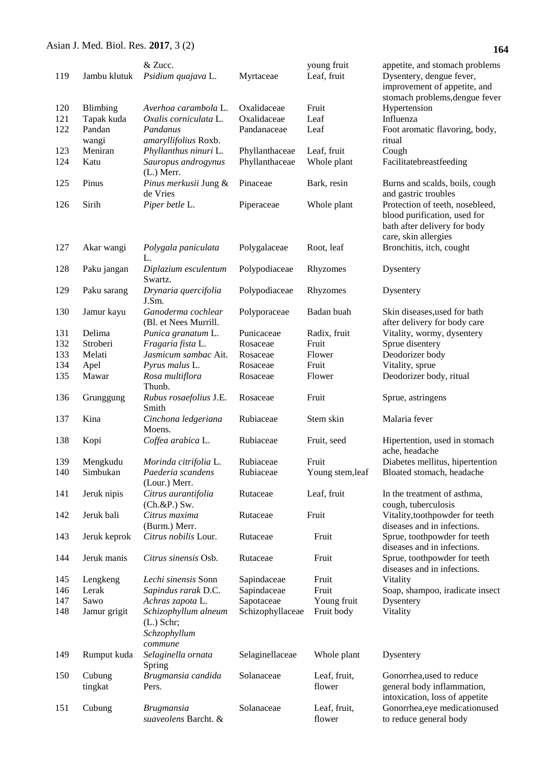| 119        | Jambu klutuk           | & Zucc.<br>Psidium quajava L.                                   | Myrtaceae                        | young fruit<br>Leaf, fruit | appetite, and stomach problems<br>Dysentery, dengue fever,<br>improvement of appetite, and                              |
|------------|------------------------|-----------------------------------------------------------------|----------------------------------|----------------------------|-------------------------------------------------------------------------------------------------------------------------|
| 120<br>121 | Blimbing<br>Tapak kuda | Averhoa carambola L.<br>Oxalis corniculata L.                   | Oxalidaceae<br>Oxalidaceae       | Fruit<br>Leaf              | stomach problems, dengue fever<br>Hypertension<br>Influenza                                                             |
| 122        | Pandan<br>wangi        | Pandanus<br>amaryllifolius Roxb.                                | Pandanaceae                      | Leaf                       | Foot aromatic flavoring, body,<br>ritual                                                                                |
| 123<br>124 | Meniran<br>Katu        | Phyllanthus ninuri L.<br>Sauropus androgynus<br>$(L.)$ Merr.    | Phyllanthaceae<br>Phyllanthaceae | Leaf, fruit<br>Whole plant | Cough<br>Facilitatebreastfeeding                                                                                        |
| 125        | Pinus                  | Pinus merkusii Jung &<br>de Vries                               | Pinaceae                         | Bark, resin                | Burns and scalds, boils, cough<br>and gastric troubles                                                                  |
| 126        | Sirih                  | Piper betle L.                                                  | Piperaceae                       | Whole plant                | Protection of teeth, nosebleed,<br>blood purification, used for<br>bath after delivery for body<br>care, skin allergies |
| 127        | Akar wangi             | Polygala paniculata<br>L.                                       | Polygalaceae                     | Root, leaf                 | Bronchitis, itch, cought                                                                                                |
| 128        | Paku jangan            | Diplazium esculentum<br>Swartz.                                 | Polypodiaceae                    | Rhyzomes                   | Dysentery                                                                                                               |
| 129        | Paku sarang            | Drynaria quercifolia<br>J.Sm.                                   | Polypodiaceae                    | Rhyzomes                   | Dysentery                                                                                                               |
| 130        | Jamur kayu             | Ganoderma cochlear<br>(Bl. et Nees Murrill.                     | Polyporaceae                     | Badan buah                 | Skin diseases, used for bath<br>after delivery for body care                                                            |
| 131        | Delima                 | Punica granatum L.                                              | Punicaceae                       | Radix, fruit               | Vitality, wormy, dysentery                                                                                              |
| 132        | Stroberi               | Fragaria fista L.                                               | Rosaceae                         | Fruit                      | Sprue disentery                                                                                                         |
| 133        | Melati                 | Jasmicum sambac Ait.                                            | Rosaceae                         | Flower                     | Deodorizer body                                                                                                         |
| 134        | Apel                   | Pyrus malus L.                                                  | Rosaceae                         | Fruit                      | Vitality, sprue                                                                                                         |
|            |                        |                                                                 |                                  |                            |                                                                                                                         |
| 135        | Mawar                  | Rosa multiflora<br>Thunb.                                       | Rosaceae                         | Flower                     | Deodorizer body, ritual                                                                                                 |
| 136        | Grunggung              | Rubus rosaefolius J.E.<br>Smith                                 | Rosaceae                         | Fruit                      | Sprue, astringens                                                                                                       |
| 137        | Kina                   | Cinchona ledgeriana<br>Moens.                                   | Rubiaceae                        | Stem skin                  | Malaria fever                                                                                                           |
| 138        | Kopi                   | Coffea arabica L.                                               | Rubiaceae                        | Fruit, seed                | Hipertention, used in stomach<br>ache, headache                                                                         |
| 139        | Mengkudu               | Morinda citrifolia L.                                           | Rubiaceae                        | Fruit                      | Diabetes mellitus, hipertention                                                                                         |
| 140        | Simbukan               | Paederia scandens<br>(Lour.) Merr.                              | Rubiaceae                        | Young stem, leaf           | Bloated stomach, headache                                                                                               |
| 141        | Jeruk nipis            | Citrus aurantifolia<br>$(Ch.\&P.)$ Sw.                          | Rutaceae                         | Leaf, fruit                | In the treatment of asthma,<br>cough, tuberculosis                                                                      |
| 142        | Jeruk bali             | Citrus maxima<br>(Burm.) Merr.                                  | Rutaceae                         | Fruit                      | Vitality, toothpowder for teeth<br>diseases and in infections.                                                          |
| 143        | Jeruk keprok           | Citrus nobilis Lour.                                            | Rutaceae                         | Fruit                      | Sprue, toothpowder for teeth<br>diseases and in infections.                                                             |
| 144        | Jeruk manis            | Citrus sinensis Osb.                                            | Rutaceae                         | Fruit                      | Sprue, toothpowder for teeth<br>diseases and in infections.                                                             |
| 145        | Lengkeng               | Lechi sinensis Sonn                                             | Sapindaceae                      | Fruit                      | Vitality                                                                                                                |
| 146        | Lerak                  | Sapindus rarak D.C.                                             | Sapindaceae                      | Fruit                      |                                                                                                                         |
|            |                        |                                                                 |                                  |                            | Soap, shampoo, iradicate insect                                                                                         |
| 147        | Sawo                   | Achras zapota L.                                                | Sapotaceae                       | Young fruit                | Dysentery                                                                                                               |
| 148        | Jamur grigit           | Schizophyllum alneum<br>$(L.)$ Schr;<br>Schzophyllum<br>commune | Schizophyllaceae                 | Fruit body                 | Vitality                                                                                                                |
| 149        | Rumput kuda            | Selaginella ornata<br>Spring                                    | Selaginellaceae                  | Whole plant                | Dysentery                                                                                                               |
| 150        | Cubung<br>tingkat      | Brugmansia candida<br>Pers.                                     | Solanaceae                       | Leaf, fruit,<br>flower     | Gonorrhea, used to reduce<br>general body inflammation,<br>intoxication, loss of appetite                               |
| 151        | Cubung                 | <b>Brugmansia</b><br>suaveolens Barcht. &                       | Solanaceae                       | Leaf, fruit,<br>flower     | Gonorrhea, eye medicationused<br>to reduce general body                                                                 |

**164**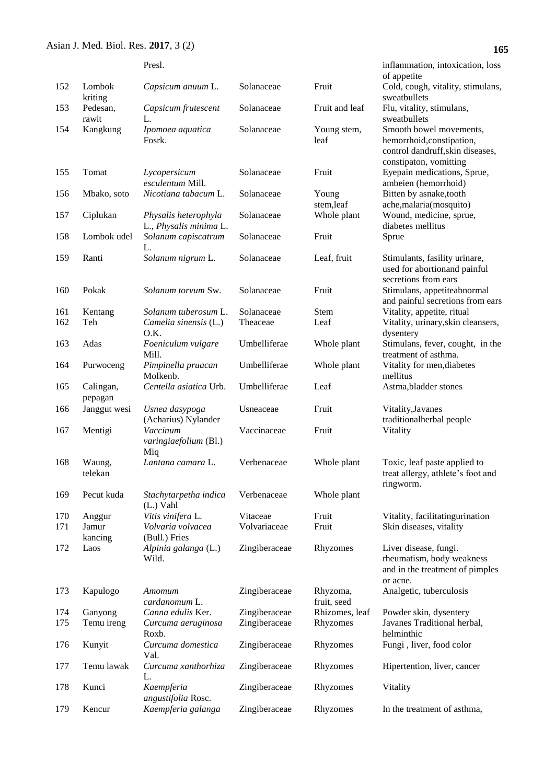# **165**

|            |                       | Presl.                                        |                                |                            | inflammation, intoxication, loss                                  |
|------------|-----------------------|-----------------------------------------------|--------------------------------|----------------------------|-------------------------------------------------------------------|
| 152        | Lombok                | Capsicum anuum L.                             | Solanaceae                     | Fruit                      | of appetite<br>Cold, cough, vitality, stimulans,                  |
|            | kriting               |                                               |                                |                            | sweatbullets                                                      |
| 153        | Pedesan,              | Capsicum frutescent                           | Solanaceae                     | Fruit and leaf             | Flu, vitality, stimulans,                                         |
|            | rawit                 | L.                                            |                                |                            | sweatbullets                                                      |
| 154        | Kangkung              | Ipomoea aquatica                              | Solanaceae                     | Young stem,                | Smooth bowel movements,                                           |
|            |                       | Fosrk.                                        |                                | leaf                       | hemorrhoid, constipation,                                         |
|            |                       |                                               |                                |                            | control dandruff, skin diseases,<br>constipaton, vomitting        |
| 155        | Tomat                 | Lycopersicum                                  | Solanaceae                     | Fruit                      | Eyepain medications, Sprue,                                       |
|            |                       | esculentum Mill.                              |                                |                            | ambeien (hemorrhoid)                                              |
| 156        | Mbako, soto           | Nicotiana tabacum L.                          | Solanaceae                     | Young                      | Bitten by asnake, tooth                                           |
|            |                       |                                               |                                | stem,leaf                  | ache, malaria(mosquito)                                           |
| 157        | Ciplukan              | Physalis heterophyla                          | Solanaceae                     | Whole plant                | Wound, medicine, sprue,                                           |
| 158        | Lombok udel           | L., Physalis minima L.<br>Solanum capiscatrum | Solanaceae                     | Fruit                      | diabetes mellitus                                                 |
|            |                       | L.                                            |                                |                            | Sprue                                                             |
| 159        | Ranti                 | Solanum nigrum L.                             | Solanaceae                     | Leaf, fruit                | Stimulants, fasility urinare,                                     |
|            |                       |                                               |                                |                            | used for abortionand painful                                      |
|            |                       |                                               |                                |                            | secretions from ears                                              |
| 160        | Pokak                 | Solanum torvum Sw.                            | Solanaceae                     | Fruit                      | Stimulans, appetiteabnormal                                       |
|            |                       |                                               |                                |                            | and painful secretions from ears                                  |
| 161<br>162 | Kentang<br>Teh        | Solanum tuberosum L.<br>Camelia sinensis (L.) | Solanaceae<br>Theaceae         | Stem<br>Leaf               | Vitality, appetite, ritual<br>Vitality, urinary, skin cleansers,  |
|            |                       | O.K.                                          |                                |                            | dysentery                                                         |
| 163        | Adas                  | Foeniculum vulgare                            | Umbelliferae                   | Whole plant                | Stimulans, fever, cought, in the                                  |
|            |                       | Mill.                                         |                                |                            | treatment of asthma.                                              |
| 164        | Purwoceng             | Pimpinella pruacan                            | Umbelliferae                   | Whole plant                | Vitality for men, diabetes                                        |
|            |                       | Molkenb.                                      |                                |                            | mellitus                                                          |
| 165        | Calingan,<br>pepagan  | Centella asiatica Urb.                        | Umbelliferae                   | Leaf                       | Astma, bladder stones                                             |
| 166        | Janggut wesi          | Usnea dasypoga                                | Usneaceae                      | Fruit                      | Vitality, Javanes                                                 |
|            |                       | (Acharius) Nylander                           |                                |                            | traditionalherbal people                                          |
| 167        | Mentigi               | Vaccinum                                      | Vaccinaceae                    | Fruit                      | Vitality                                                          |
|            |                       | varingiaefolium (Bl.)                         |                                |                            |                                                                   |
|            |                       | Miq                                           |                                |                            |                                                                   |
| 168        | Waung,<br>telekan     | Lantana camara L.                             | Verbenaceae                    | Whole plant                | Toxic, leaf paste applied to<br>treat allergy, athlete's foot and |
|            |                       |                                               |                                |                            | ringworm.                                                         |
| 169        | Pecut kuda            | Stachytarpetha indica                         | Verbenaceae                    | Whole plant                |                                                                   |
|            |                       | $(L.)$ Vahl                                   |                                |                            |                                                                   |
| 170        | Anggur                | Vitis vinifera L.                             | Vitaceae                       | Fruit                      | Vitality, facilitatingurination                                   |
| 171        | Jamur                 | Volvaria volvacea                             | Volvariaceae                   | Fruit                      | Skin diseases, vitality                                           |
| 172        | kancing<br>Laos       | (Bull.) Fries<br>Alpinia galanga (L.)         | Zingiberaceae                  | Rhyzomes                   | Liver disease, fungi.                                             |
|            |                       | Wild.                                         |                                |                            | rheumatism, body weakness                                         |
|            |                       |                                               |                                |                            | and in the treatment of pimples                                   |
|            |                       |                                               |                                |                            | or acne.                                                          |
| 173        | Kapulogo              | Amomum                                        | Zingiberaceae                  | Rhyzoma,                   | Analgetic, tuberculosis                                           |
|            |                       | cardanomum L.                                 |                                | fruit, seed                |                                                                   |
| 174<br>175 | Ganyong<br>Temu ireng | Canna edulis Ker.                             | Zingiberaceae<br>Zingiberaceae | Rhizomes, leaf<br>Rhyzomes | Powder skin, dysentery<br>Javanes Traditional herbal,             |
|            |                       | Curcuma aeruginosa<br>Roxb.                   |                                |                            | helminthic                                                        |
| 176        | Kunyit                | Curcuma domestica                             | Zingiberaceae                  | Rhyzomes                   | Fungi, liver, food color                                          |
|            |                       | Val.                                          |                                |                            |                                                                   |
| 177        | Temu lawak            | Curcuma xanthorhiza                           | Zingiberaceae                  | Rhyzomes                   | Hipertention, liver, cancer                                       |
|            |                       | L.                                            |                                |                            |                                                                   |
| 178        | Kunci                 | Kaempferia<br>angustifolia Rosc.              | Zingiberaceae                  | Rhyzomes                   | Vitality                                                          |
| 179        | Kencur                | Kaempferia galanga                            | Zingiberaceae                  | Rhyzomes                   | In the treatment of asthma,                                       |
|            |                       |                                               |                                |                            |                                                                   |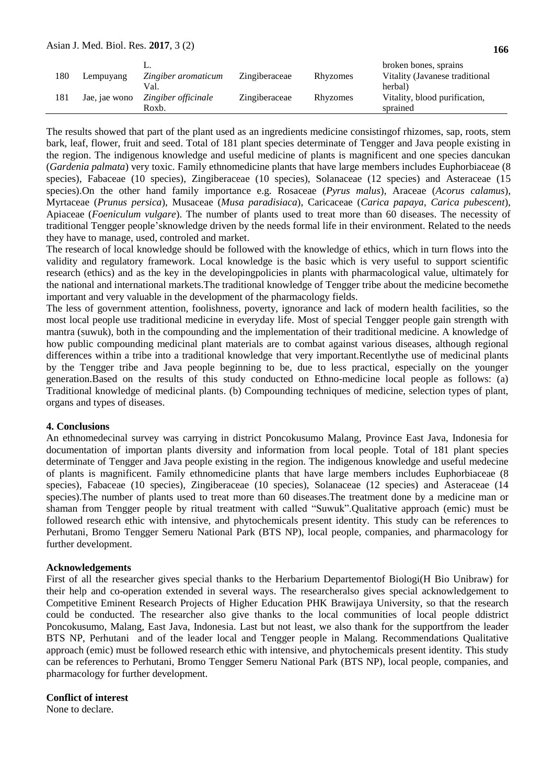| 180 | Lempuyang     | Zingiber aromaticum<br>Val.  | Zingiberaceae | Rhyzomes | broken bones, sprains<br>Vitality (Javanese traditional<br>herbal) |
|-----|---------------|------------------------------|---------------|----------|--------------------------------------------------------------------|
| 181 | Jae, jae wono | Zingiber officinale<br>Roxb. | Zingiberaceae | Rhyzomes | Vitality, blood purification,<br>sprained                          |

The results showed that part of the plant used as an ingredients medicine consistingof rhizomes, sap, roots, stem bark, leaf, flower, fruit and seed. Total of 181 plant species determinate of Tengger and Java people existing in the region. The indigenous knowledge and useful medicine of plants is magnificent and one species dancukan (*Gardenia palmata*) very toxic. Family ethnomedicine plants that have large members includes Euphorbiaceae (8 species), Fabaceae (10 species), Zingiberaceae (10 species), Solanaceae (12 species) and Asteraceae (15 species).On the other hand family importance e.g. Rosaceae (*Pyrus malus*), Araceae (*Acorus calamus*), Myrtaceae (*Prunus persica*), Musaceae (*Musa paradisiaca*), Caricaceae (*Carica papaya*, *Carica pubescent*), Apiaceae (*Foeniculum vulgare*). The number of plants used to treat more than 60 diseases. The necessity of traditional Tengger people'sknowledge driven by the needs formal life in their environment. Related to the needs they have to manage, used, controled and market.

The research of local knowledge should be followed with the knowledge of ethics, which in turn flows into the validity and regulatory framework. Local knowledge is the basic which is very useful to support scientific research (ethics) and as the key in the developingpolicies in plants with pharmacological value, ultimately for the national and international markets.The traditional knowledge of Tengger tribe about the medicine becomethe important and very valuable in the development of the pharmacology fields.

The less of government attention, foolishness, poverty, ignorance and lack of modern health facilities, so the most local people use traditional medicine in everyday life. Most of special Tengger people gain strength with mantra (suwuk), both in the compounding and the implementation of their traditional medicine. A knowledge of how public compounding medicinal plant materials are to combat against various diseases, although regional differences within a tribe into a traditional knowledge that very important.Recentlythe use of medicinal plants by the Tengger tribe and Java people beginning to be, due to less practical, especially on the younger generation.Based on the results of this study conducted on Ethno-medicine local people as follows: (a) Traditional knowledge of medicinal plants. (b) Compounding techniques of medicine, selection types of plant, organs and types of diseases.

#### **4. Conclusions**

An ethnomedecinal survey was carrying in district Poncokusumo Malang, Province East Java, Indonesia for documentation of importan plants diversity and information from local people. Total of 181 plant species determinate of Tengger and Java people existing in the region. The indigenous knowledge and useful medecine of plants is magnificent. Family ethnomedicine plants that have large members includes Euphorbiaceae (8 species), Fabaceae (10 species), Zingiberaceae (10 species), Solanaceae (12 species) and Asteraceae (14 species).The number of plants used to treat more than 60 diseases.The treatment done by a medicine man or shaman from Tengger people by ritual treatment with called "Suwuk".Qualitative approach (emic) must be followed research ethic with intensive, and phytochemicals present identity. This study can be references to Perhutani, Bromo Tengger Semeru National Park (BTS NP), local people, companies, and pharmacology for further development.

#### **Acknowledgements**

First of all the researcher gives special thanks to the Herbarium Departementof Biologi(H Bio Unibraw) for their help and co-operation extended in several ways. The researcheralso gives special acknowledgement to Competitive Eminent Research Projects of Higher Education PHK Brawijaya University, so that the research could be conducted. The researcher also give thanks to the local communities of local people ddistrict Poncokusumo, Malang, East Java, Indonesia. Last but not least, we also thank for the supportfrom the leader BTS NP, Perhutani and of the leader local and Tengger people in Malang. Recommendations Qualitative approach (emic) must be followed research ethic with intensive, and phytochemicals present identity. This study can be references to Perhutani, Bromo Tengger Semeru National Park (BTS NP), local people, companies, and pharmacology for further development.

### **Conflict of interest**

None to declare.